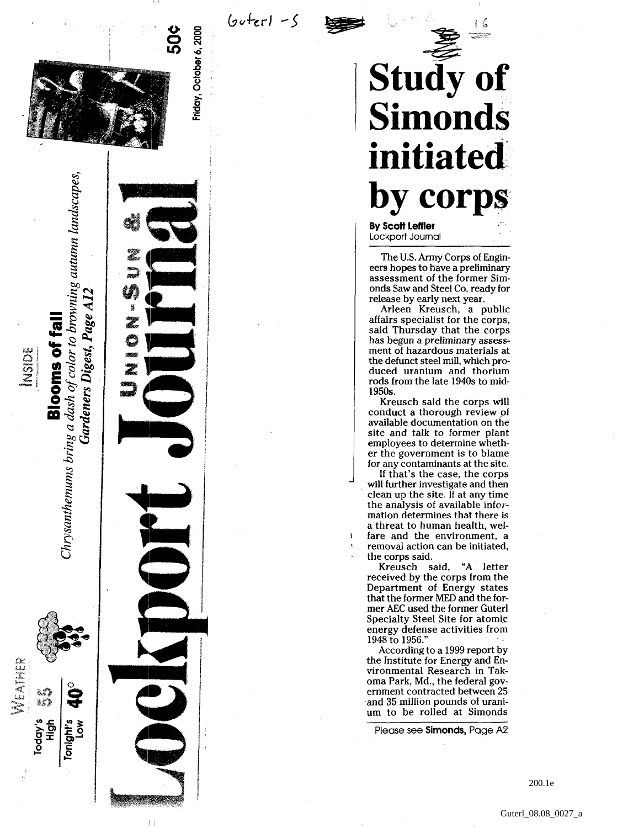

Gardeners Digest, Page A12

**Blooms of fall** 

**DESCRIPTION** 

MEATHER

est)<br>Astr

Today's<br>High

Tonight's<br>Low

Friday, October 6, 2000

 $6$ *u* $+er1 - 5$ 

**Stud y o f Simond s initiate d b y corp s By Scot t Leffle r**

Lockpor t Journal

Th e U.S . Army Corp s of Engineers hopes to have a preliminary assessmen t of th e forme r Simonds Saw and Steel Co. ready for releas e b y earl y nex t year .

Arlee n Kreusch , a publi c affair s specialis t for th e corps , said Thursday that the corps ha s begu n a preliminary assess men t of hazardou s material s a t th e defunc t stee l mill , whic h pro duce d uraniu m an d thoriu m rod s from th e lat e 1940 s t o mid - 1950s .

Kreusc h sai d th e corp s wil l conduc t a thoroug h revie w of availabl e documentatio n o n th e site and talk to former plant employee s t o determin e wheth e r th e governmen t i s t o blam e for any contaminants at the site.

If that' s th e case , th e corp s will furthe r investigat e an d the n clean up the site. If at any time the analysis of available informatio n determine s tha t ther e i s a threat to human health, welfar e an d th e environment , a remova l actio n ca n b e initiated , th e corp s said .

Kreusc h said , "A lette r receive d b y th e corp s from th e Departmen t of Energ y state s tha t th e former MED an d th e former AEC used the former Guterl Specialt y Stee l Sit e for atomi c energ y defens e activitie s from 1948 to 1956."

Accordin g t o a 1999 repor t b y the Institute for Energy and Environmental Research in Takoma Park, Md., the federal government contracted between 25 an d 3 5 millio n pound s of urani u m t o b e rolle d a t Simond s

Pleas e se e **Simonds ,** Pag e A 2

200.1e